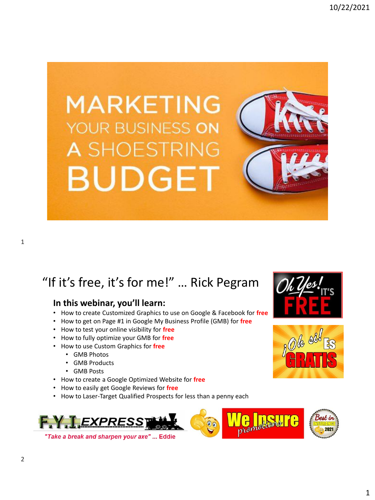

### "If it's free, it's for me!" … Rick Pegram

#### **In this webinar, you'll learn:**

- How to create Customized Graphics to use on Google & Facebook for **free**
- How to get on Page #1 in Google My Business Profile (GMB) for **free**
- How to test your online visibility for **free**
- How to fully optimize your GMB for **free**
- How to use Custom Graphics for **free**
	- GMB Photos
	- GMB Products
	- GMB Posts
- How to create a Google Optimized Website for **free**
- How to easily get Google Reviews for **free**
- How to Laser-Target Qualified Prospects for less than a penny each



"Take a break and sharpen your axe" ... Eddie





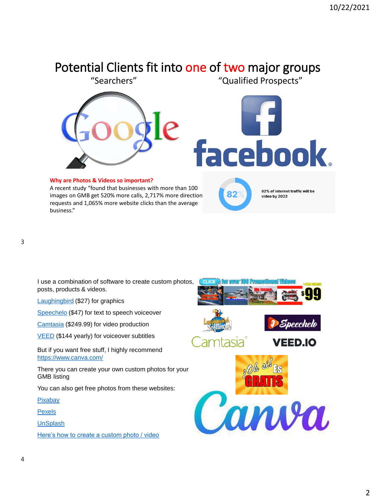### Potential Clients fit into one of two major groups



I use a combination of software to create custom photos, posts, products & videos.

[Laughingbird](https://laughingbirdsoftware.com/) (\$27) for graphics

[Speechelo](https://speechelo-offer.com/) (\$47) for text to speech voiceover

[Camtasia](https://www.techsmith.com/video-editor.html) (\$249.99) for video production

**[VEED](https://www.veed.io/login)** (\$144 yearly) for voiceover subtitles

But if you want free stuff, I highly recommend <https://www.canva.com/>

There you can create your own custom photos for your GMB listing

You can also get free photos from these websites:

[Pixabay](https://pixabay.com/)

**[Pexels](https://www.pexels.com/)** 

[UnSplash](https://unsplash.com/)

[Here's how to create a custom photo / video](https://www.canva.com/)

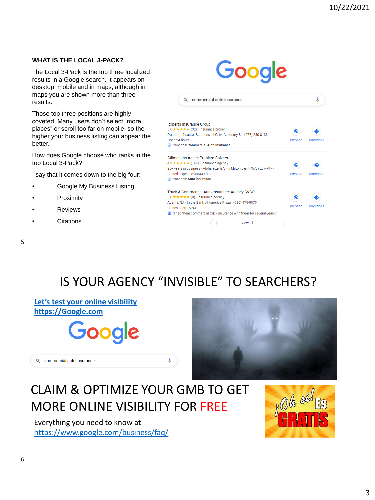#### **WHAT IS THE LOCAL 3-PACK?**

The Local 3-Pack is the top three localized results in a Google search. It appears on desktop, mobile and in maps, although in maps you are shown more than three results.

Those top three positions are highly coveted. Many users don't select "more places" or scroll too far on mobile, so the higher your business listing can appear the better.

How does Google choose who ranks in the top Local 3-Pack?

I say that it comes down to the big four:

- Google My Business Listing
- **Proximity**
- **Reviews**
- **Citations**



5

### IS YOUR AGENCY "INVISIBLE" TO SEARCHERS?

Ų.

#### **[Let's test your online visibility](https://google.com/) [https://Google.com](https://google.com/)**

Q commercial auto insurance





### CLAIM & OPTIMIZE YOUR GMB TO GET MORE ONLINE VISIBILITY FOR FREE

Everything you need to know at <https://www.google.com/business/faq/>

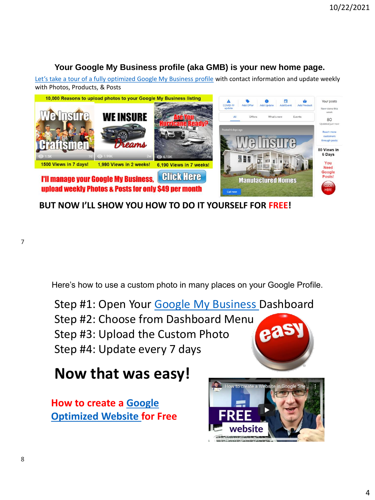#### **Your Google My Business profile (aka GMB) is your new home page.**

[Let's take a tour of a fully optimized Google My Business profile](https://business.google.com/insights/l/01171565085187841525) with contact information and update weekly with Photos, Products, & Posts



**BUT NOW I'LL SHOW YOU HOW TO DO IT YOURSELF FOR FREE!**

Here's how to use a custom photo in many places on your Google Profile.

Step #1: Open Your [Google My Business](https://business.google.com/dashboard/l/01171565085187841525) Dashboard Step #2: Choose from Dashboard Menu  $6<sup>3</sup>$ Step #3: Upload the Custom Photo Step #4: Update every 7 days

## **Now that was easy!**

**[How to create a Google](https://business.google.com/dashboard/l/01171565085187841525) Optimized Website for Free**



7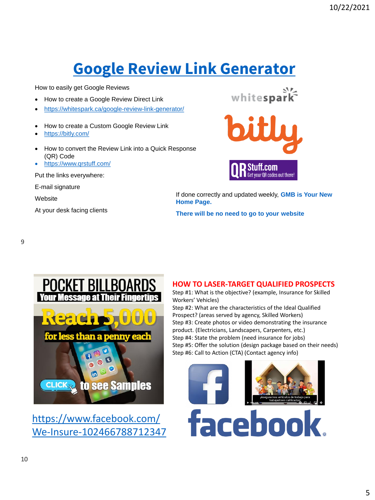# **[Google Review Link Generator](https://whitespark.ca/google-review-link-generator/)**

How to easily get Google Reviews

- How to create a Google Review Direct Link
- <https://whitespark.ca/google-review-link-generator/>
- How to create a Custom Google Review Link
- <https://bitly.com/>
- How to convert the Review Link into a Quick Response (QR) Code
- <https://www.qrstuff.com/>

Put the links everywhere:

E-mail signature

**Website** 

At your desk facing clients





If done correctly and updated weekly, **GMB is Your New Home Page.**

**There will be no need to go to your website**

9



[https://www.facebook.com/](https://www.facebook.com/We-Insure-102466788712347) We-Insure-102466788712347

#### **HOW TO LASER-TARGET QUALIFIED PROSPECTS**

Step #1: What is the objective? (example, Insurance for Skilled Workers' Vehicles)

Step #2: What are the characteristics of the Ideal Qualified Prospect? (areas served by agency, Skilled Workers) Step #3: Create photos or video demonstrating the insurance product. (Electricians, Landscapers, Carpenters, etc.) Step #4: State the problem (need insurance for jobs) Step #5: Offer the solution (design package based on their needs) Step #6: Call to Action (CTA) (Contact agency info)